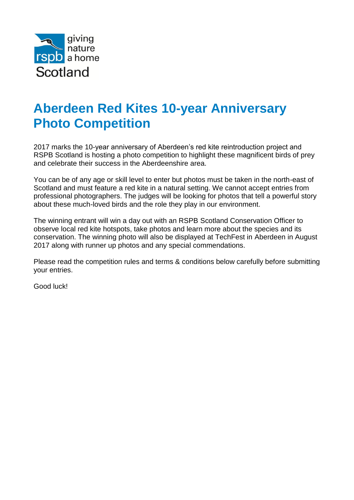

## **Aberdeen Red Kites 10-year Anniversary Photo Competition**

2017 marks the 10-year anniversary of Aberdeen's red kite reintroduction project and RSPB Scotland is hosting a photo competition to highlight these magnificent birds of prey and celebrate their success in the Aberdeenshire area.

You can be of any age or skill level to enter but photos must be taken in the north-east of Scotland and must feature a red kite in a natural setting. We cannot accept entries from professional photographers. The judges will be looking for photos that tell a powerful story about these much-loved birds and the role they play in our environment.

The winning entrant will win a day out with an RSPB Scotland Conservation Officer to observe local red kite hotspots, take photos and learn more about the species and its conservation. The winning photo will also be displayed at TechFest in Aberdeen in August 2017 along with runner up photos and any special commendations.

Please read the competition rules and terms & conditions below carefully before submitting your entries.

Good luck!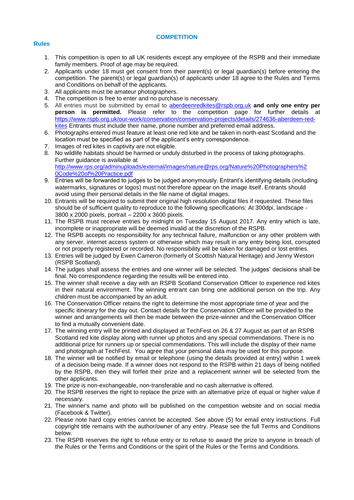## **COMPETITION**

## **Rules**

- 1. This competition is open to all UK residents except any employee of the RSPB and their immediate family members. Proof of age may be required.
- 2. Applicants under 18 must get consent from their parent(s) or legal guardian(s) before entering the competition. The parent(s) or legal guardian(s) of applicants under 18 agree to the Rules and Terms and Conditions on behalf of the applicants.
- 3. All applicants must be amateur photographers.
- 4. The competition is free to enter and no purchase is necessary.
- 5. All entries must be submitted by email to [aberdeenredkites@rspb.org.uk](mailto:aberdeenredkites@rspb.org.uk) **and only one entry per person is permitted.** Please refer to the competition page for further details at [https://www.rspb.org.uk/our-work/conservation/conservation-projects/details/274636-aberdeen-red](https://www.rspb.org.uk/our-work/conservation/conservation-projects/details/274636-aberdeen-red-kites)[kites](https://www.rspb.org.uk/our-work/conservation/conservation-projects/details/274636-aberdeen-red-kites) Entrants must include their name, phone number and preferred email address.
- 6. Photographs entered must feature at least one red kite and be taken in north-east Scotland and the location must be specified as part of the applicant's entry correspondence.
- 7. Images of red kites in captivity are not eligible.
- 8. No wildlife habitats should be harmed or unduly disturbed in the process of taking photographs. Further guidance is available at [http://www.rps.org/adminuploads/external/images/nature@rps.org/Nature%20Photographers%2](http://www.rps.org/adminuploads/external/images/nature@rps.org/Nature%20Photographers%20Code%20of%20Practice.pdf) [0Code%20of%20Practice.pdf](http://www.rps.org/adminuploads/external/images/nature@rps.org/Nature%20Photographers%20Code%20of%20Practice.pdf)
- 9. Entries will be forwarded to judges to be judged anonymously. Entrant's identifying details (including watermarks, signatures or logos) must not therefore appear on the image itself. Entrants should avoid using their personal details in the file name of digital images.
- 10. Entrants will be required to submit their original high resolution digital files if requested. These files should be of sufficient quality to reproduce to the following specifications: At 300dpi, landscape - 3800 x 2000 pixels, portrait – 2200 x 3600 pixels.
- 11. The RSPB must receive entries by midnight on Tuesday 15 August 2017. Any entry which is late, incomplete or inappropriate will be deemed invalid at the discretion of the RSPB.
- 12. The RSPB accepts no responsibility for any technical failure, malfunction or any other problem with any server, internet access system or otherwise which may result in any entry being lost, corrupted or not properly registered or recorded. No responsibility will be taken for damaged or lost entries.
- 13. Entries will be judged by Ewen Cameron (formerly of Scottish Natural Heritage) and Jenny Weston (RSPB Scotland).
- 14. The judges shall assess the entries and one winner will be selected. The judges' decisions shall be final. No correspondence regarding the results will be entered into.
- 15. The winner shall receive a day with an RSPB Scotland Conservation Officer to experience red kites in their natural environment. The winning entrant can bring one additional person on the trip. Any children must be accompanied by an adult.
- 16. The Conservation Officer retains the right to determine the most appropriate time of year and the specific itinerary for the day out. Contact details for the Conservation Officer will be provided to the winner and arrangements will then be made between the prize-winner and the Conservation Officer to find a mutually convenient date.
- 17. The winning entry will be printed and displayed at TechFest on 26 & 27 August as part of an RSPB Scotland red kite display along with runner up photos and any special commendations. There is no additional prize for runners up or special commendations. This will include the display of their name and photograph at TechFest. You agree that your personal data may be used for this purpose.
- 18. The winner will be notified by email or telephone (using the details provided at entry) within 1 week of a decision being made. If a winner does not respond to the RSPB within 21 days of being notified by the RSPB, then they will forfeit their prize and a replacement winner will be selected from the other applicants.
- 19. The prize is non-exchangeable, non-transferable and no cash alternative is offered.
- 20. The RSPB reserves the right to replace the prize with an alternative prize of equal or higher value if necessary.
- 21. The winner's name and photo will be published on the competition website and on social media (Facebook & Twitter).
- 22. Please note hard copy entries cannot be accepted. See above (5) for email entry instructions. Full copyright title remains with the author/owner of any entry. Please see the full Terms and Conditions below.
- 23. The RSPB reserves the right to refuse entry or to refuse to award the prize to anyone in breach of the Rules or the Terms and Conditions or the spirit of the Rules or the Terms and Conditions.